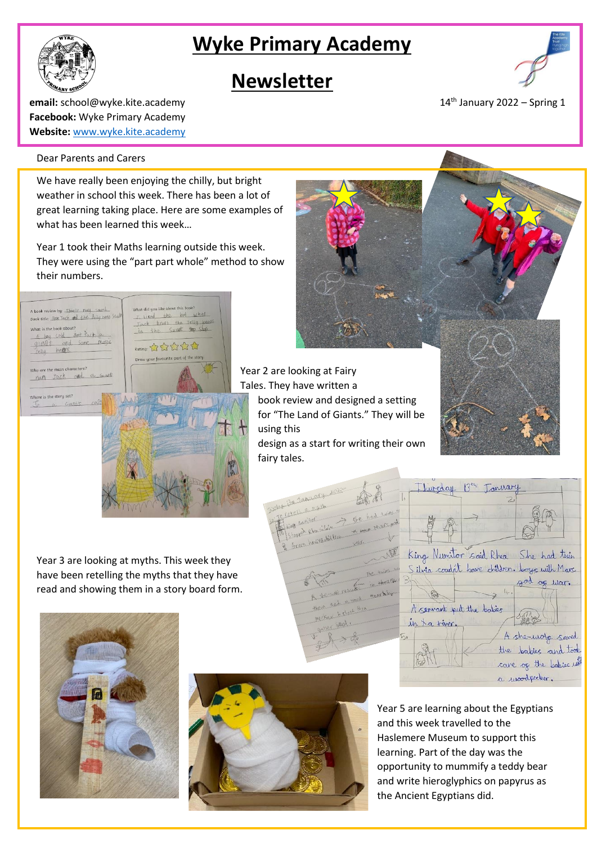# **Wyke Primary Academy**

# **Newsletter**



**email:** school@wyke.kite.academy 14<sup>th</sup> January 2022 – Spring 1 **Facebook:** Wyke Primary Academy **Website:** [www.wyke.kite.academy](http://www.wyke.kite.academy/)

### Dear Parents and Carers

We have really been enjoying the chilly, but bright weather in school this week. There has been a lot of great learning taking place. Here are some examples of what has been learned this week…

Year 1 took their Maths learning outside this week. They were using the "part part whole" method to show their numbers.



Year 2 are looking at Fairy Tales. They have written a book review and designed a setting for "The Land of Giants." They will be using this design as a start for writing their own fairy tales.

Year 3 are looking at myths. This week they have been retelling the myths that they have read and showing them in a story board form.







Year 5 are learning about the Egyptians and this week travelled to the Haslemere Museum to support this learning. Part of the day was the opportunity to mummify a teddy bear and write hieroglyphics on papyrus as the Ancient Egyptians did.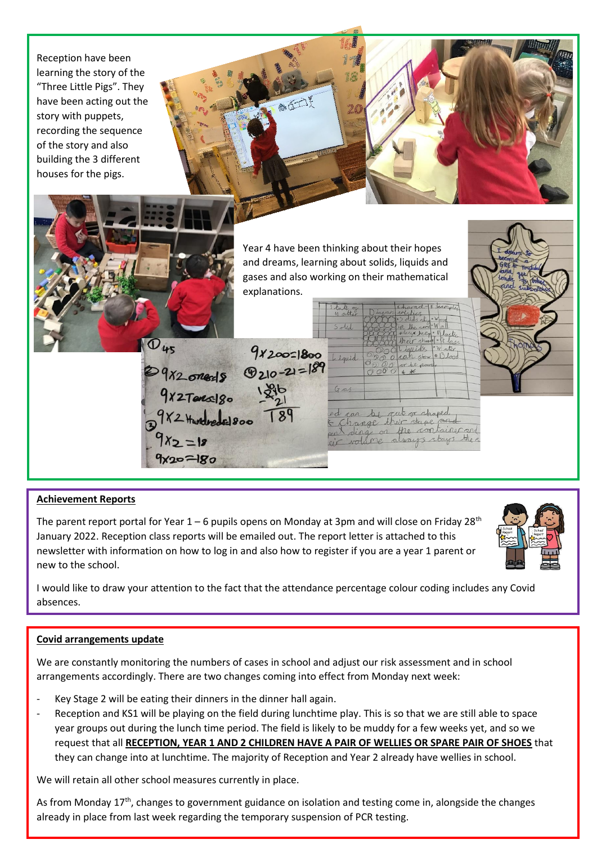

## **Achievement Reports**

The parent report portal for Year  $1 - 6$  pupils opens on Monday at 3pm and will close on Friday 28<sup>th</sup> January 2022. Reception class reports will be emailed out. The report letter is attached to this newsletter with information on how to log in and also how to register if you are a year 1 parent or new to the school.

I would like to draw your attention to the fact that the attendance percentage colour coding includes any Covid absences.

## **Covid arrangements update**

We are constantly monitoring the numbers of cases in school and adjust our risk assessment and in school arrangements accordingly. There are two changes coming into effect from Monday next week:

- Key Stage 2 will be eating their dinners in the dinner hall again.
- Reception and KS1 will be playing on the field during lunchtime play. This is so that we are still able to space year groups out during the lunch time period. The field is likely to be muddy for a few weeks yet, and so we request that all **RECEPTION, YEAR 1 AND 2 CHILDREN HAVE A PAIR OF WELLIES OR SPARE PAIR OF SHOES** that they can change into at lunchtime. The majority of Reception and Year 2 already have wellies in school.

We will retain all other school measures currently in place.

As from Monday  $17<sup>th</sup>$ , changes to government guidance on isolation and testing come in, alongside the changes already in place from last week regarding the temporary suspension of PCR testing.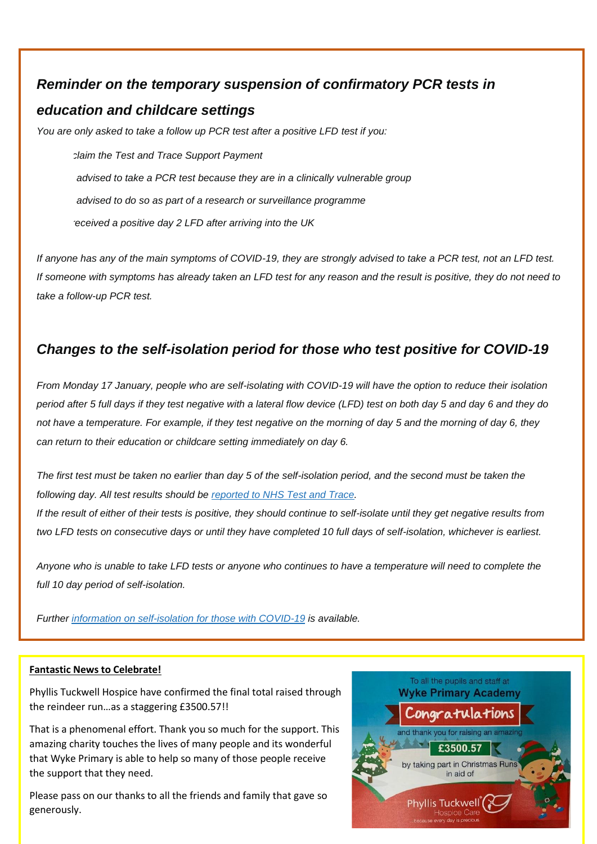## *Reminder on the temporary suspension of confirmatory PCR tests in*

## *education and childcare settings*

*You are only asked to take a follow up PCR test after a positive LFD test if you:*

• *wish to claim the Test and Trace Support Payment* • *have be advised to take a PCR test because they are in a clinically vulnerable group* • *have be advised to do so as part of a research or surveillance programme* • *have rereceived a positive day 2 LFD after arriving into the UK*

*If anyone has any of the main symptoms of COVID-19, they are strongly advised to take a PCR test, not an LFD test. If someone with symptoms has already taken an LFD test for any reason and the result is positive, they do not need to take a follow-up PCR test.*

## *Changes to the self-isolation period for those who test positive for COVID-19*

*From Monday 17 January, people who are self-isolating with COVID-19 will have the option to reduce their isolation period after 5 full days if they test negative with a lateral flow device (LFD) test on both day 5 and day 6 and they do not have a temperature. For example, if they test negative on the morning of day 5 and the morning of day 6, they can return to their education or childcare setting immediately on day 6.*

*The first test must be taken no earlier than day 5 of the self-isolation period, and the second must be taken the following day. All test results should be [reported](https://www.gov.uk/report-covid19-result?utm_source=14%20January%202022%20C19&utm_medium=Daily%20Email%20C19&utm_campaign=DfE%20C19) to NHS Test and Trace.*

*If the result of either of their tests is positive, they should continue to self-isolate until they get negative results from two LFD tests on consecutive days or until they have completed 10 full days of self-isolation, whichever is earliest.*

*Anyone who is unable to take LFD tests or anyone who continues to have a temperature will need to complete the full 10 day period of self-isolation.*

*Further information on [self-isolation](https://www.gov.uk/government/news/self-isolation-for-those-with-covid-19-can-end-after-five-full-days-following-two-negative-lfd-tests?utm_source=14%20January%202022%20C19&utm_medium=Daily%20Email%20C19&utm_campaign=DfE%20C19) for those with COVID-19 is available.*

## **Fantastic News to Celebrate!**

Phyllis Tuckwell Hospice have confirmed the final total raised through the reindeer run…as a staggering £3500.57!!

That is a phenomenal effort. Thank you so much for the support. This amazing charity touches the lives of many people and its wonderful that Wyke Primary is able to help so many of those people receive the support that they need.

Please pass on our thanks to all the friends and family that gave so generously.